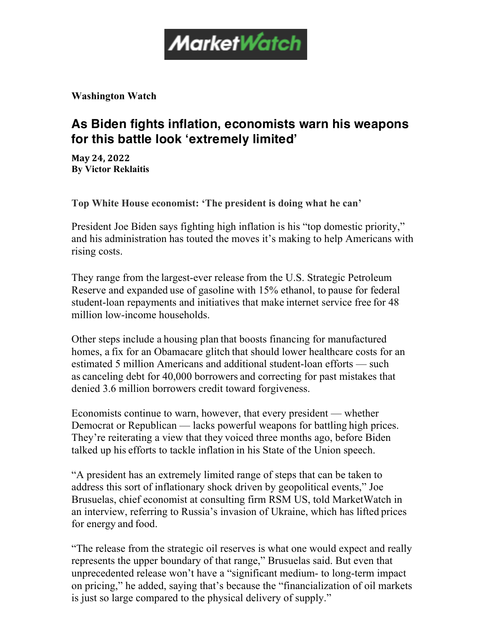

**Washington Watch**

## **As Biden fights inflation, economists warn his weapons for this battle look 'extremely limited'**

**May 24, 2022 By Victor Reklaitis**

**Top White House economist: 'The president is doing what he can'**

President Joe Biden says fighting high inflation is his "top domestic priority," and his administration has touted the moves it's making to help Americans with rising costs.

They range from the largest-ever release from the U.S. Strategic Petroleum Reserve and expanded use of gasoline with 15% ethanol, to pause for federal student-loan repayments and initiatives that make internet service free for 48 million low-income households.

Other steps include a housing plan that boosts financing for manufactured homes, a fix for an Obamacare glitch that should lower healthcare costs for an estimated 5 million Americans and additional student-loan efforts — such as canceling debt for 40,000 borrowers and correcting for past mistakes that denied 3.6 million borrowers credit toward forgiveness.

Economists continue to warn, however, that every president — whether Democrat or Republican — lacks powerful weapons for battling high prices. They're reiterating a view that they voiced three months ago, before Biden talked up his efforts to tackle inflation in his State of the Union speech.

"A president has an extremely limited range of steps that can be taken to address this sort of inflationary shock driven by geopolitical events," Joe Brusuelas, chief economist at consulting firm RSM US, told MarketWatch in an interview, referring to Russia's invasion of Ukraine, which has lifted prices for energy and food.

"The release from the strategic oil reserves is what one would expect and really represents the upper boundary of that range," Brusuelas said. But even that unprecedented release won't have a "significant medium- to long-term impact on pricing," he added, saying that's because the "financialization of oil markets is just so large compared to the physical delivery of supply."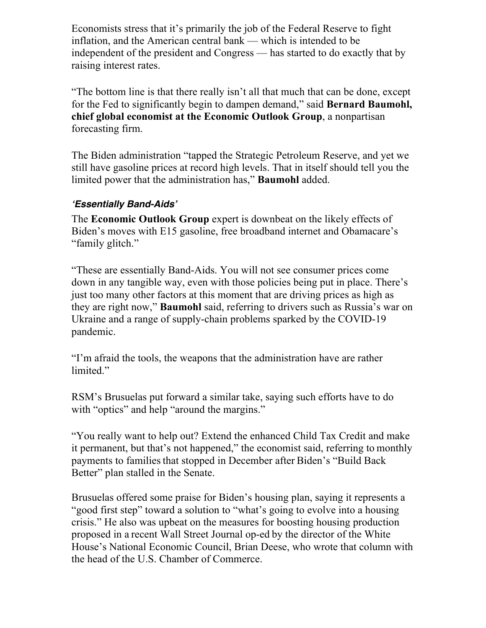Economists stress that it's primarily the job of the Federal Reserve to fight inflation, and the American central bank — which is intended to be independent of the president and Congress — has started to do exactly that by raising interest rates.

"The bottom line is that there really isn't all that much that can be done, except for the Fed to significantly begin to dampen demand," said **Bernard Baumohl, chief global economist at the Economic Outlook Group**, a nonpartisan forecasting firm.

The Biden administration "tapped the Strategic Petroleum Reserve, and yet we still have gasoline prices at record high levels. That in itself should tell you the limited power that the administration has," **Baumohl** added.

## *'Essentially Band-Aids'*

The **Economic Outlook Group** expert is downbeat on the likely effects of Biden's moves with E15 gasoline, free broadband internet and Obamacare's "family glitch."

"These are essentially Band-Aids. You will not see consumer prices come down in any tangible way, even with those policies being put in place. There's just too many other factors at this moment that are driving prices as high as they are right now," **Baumohl** said, referring to drivers such as Russia's war on Ukraine and a range of supply-chain problems sparked by the COVID-19 pandemic.

"I'm afraid the tools, the weapons that the administration have are rather limited."

RSM's Brusuelas put forward a similar take, saying such efforts have to do with "optics" and help "around the margins."

"You really want to help out? Extend the enhanced Child Tax Credit and make it permanent, but that's not happened," the economist said, referring to monthly payments to families that stopped in December after Biden's "Build Back" Better" plan stalled in the Senate.

Brusuelas offered some praise for Biden's housing plan, saying it represents a "good first step" toward a solution to "what's going to evolve into a housing crisis." He also was upbeat on the measures for boosting housing production proposed in a recent Wall Street Journal op-ed by the director of the White House's National Economic Council, Brian Deese, who wrote that column with the head of the U.S. Chamber of Commerce.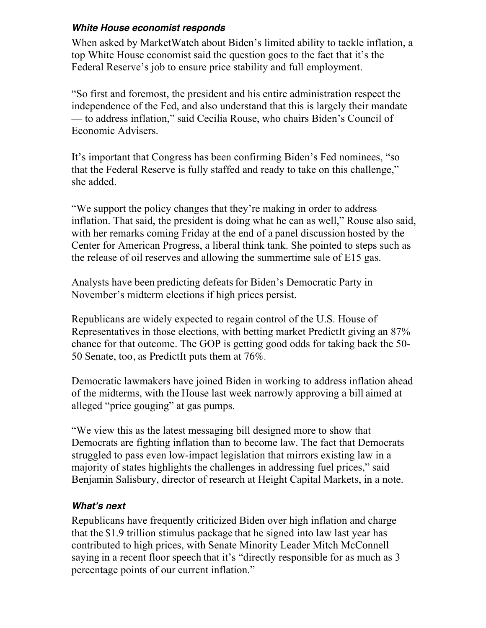## *White House economist responds*

When asked by MarketWatch about Biden's limited ability to tackle inflation, a top White House economist said the question goes to the fact that it's the Federal Reserve's job to ensure price stability and full employment.

"So first and foremost, the president and his entire administration respect the independence of the Fed, and also understand that this is largely their mandate — to address inflation," said Cecilia Rouse, who chairs Biden's Council of Economic Advisers.

It's important that Congress has been confirming Biden's Fed nominees, "so that the Federal Reserve is fully staffed and ready to take on this challenge," she added.

"We support the policy changes that they're making in order to address inflation. That said, the president is doing what he can as well," Rouse also said, with her remarks coming Friday at the end of a panel discussion hosted by the Center for American Progress, a liberal think tank. She pointed to steps such as the release of oil reserves and allowing the summertime sale of E15 gas.

Analysts have been predicting defeats for Biden's Democratic Party in November's midterm elections if high prices persist.

Republicans are widely expected to regain control of the U.S. House of Representatives in those elections, with betting market PredictIt giving an 87% chance for that outcome. The GOP is getting good odds for taking back the 50- 50 Senate, too, as PredictIt puts them at 76%.

Democratic lawmakers have joined Biden in working to address inflation ahead of the midterms, with the House last week narrowly approving a bill aimed at alleged "price gouging" at gas pumps.

"We view this as the latest messaging bill designed more to show that Democrats are fighting inflation than to become law. The fact that Democrats struggled to pass even low-impact legislation that mirrors existing law in a majority of states highlights the challenges in addressing fuel prices," said Benjamin Salisbury, director of research at Height Capital Markets, in a note.

## *What's next*

Republicans have frequently criticized Biden over high inflation and charge that the \$1.9 trillion stimulus package that he signed into law last year has contributed to high prices, with Senate Minority Leader Mitch McConnell saying in a recent floor speech that it's "directly responsible for as much as 3 percentage points of our current inflation."